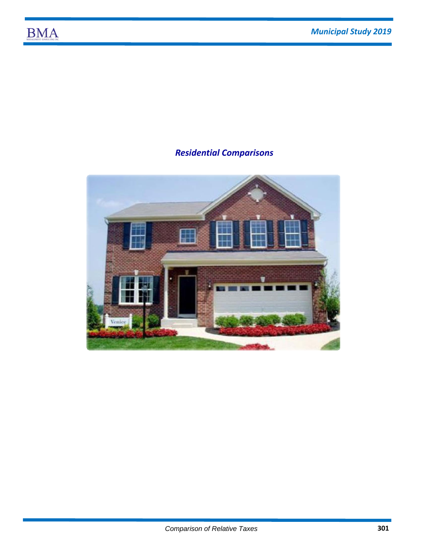## **BMA**

## *Residential Comparisons*

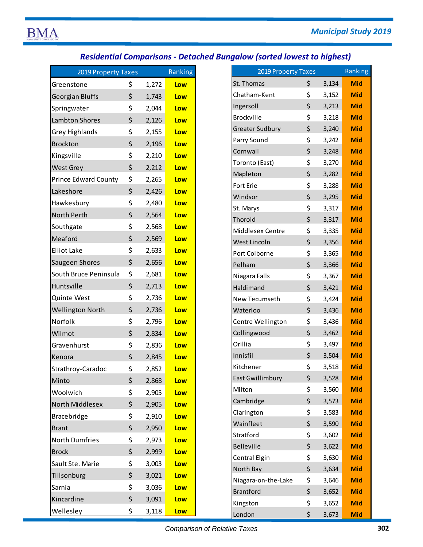## *Residential Comparisons ‐ Detached Bungalow (sorted lowest to highest)*

| <b>2019 Property Taxes</b>  |    | Ranking |     |
|-----------------------------|----|---------|-----|
| Greenstone                  | \$ | 1,272   | Low |
| Georgian Bluffs             | \$ | 1,743   | Low |
| Springwater                 | \$ | 2,044   | Low |
| <b>Lambton Shores</b>       | \$ | 2,126   | Low |
| <b>Grey Highlands</b>       | \$ | 2,155   | Low |
| <b>Brockton</b>             | \$ | 2,196   | Low |
| Kingsville                  | \$ | 2,210   | Low |
| <b>West Grey</b>            | \$ | 2,212   | Low |
| <b>Prince Edward County</b> | \$ | 2,265   | Low |
| Lakeshore                   | \$ | 2,426   | Low |
| Hawkesbury                  | \$ | 2,480   | Low |
| North Perth                 | \$ | 2,564   | Low |
| Southgate                   | \$ | 2,568   | Low |
| Meaford                     | \$ | 2,569   | Low |
| <b>Elliot Lake</b>          | \$ | 2,633   | Low |
| Saugeen Shores              | \$ | 2,656   | Low |
| South Bruce Peninsula       | \$ | 2,681   | Low |
| Huntsville                  | \$ | 2,713   | Low |
| Quinte West                 | \$ | 2,736   | Low |
| <b>Wellington North</b>     | \$ | 2,736   | Low |
| Norfolk                     | \$ | 2,796   | Low |
| Wilmot                      | \$ | 2,834   | Low |
| Gravenhurst                 | \$ | 2,836   | Low |
| Kenora                      | \$ | 2,845   | Low |
| Strathroy-Caradoc           | \$ | 2,852   | Low |
| Minto                       | \$ | 2,868   | Low |
| Woolwich                    | \$ | 2,905   | Low |
| North Middlesex             | \$ | 2,905   | Low |
| Bracebridge                 | \$ | 2,910   | Low |
| <b>Brant</b>                | \$ | 2,950   | Low |
| <b>North Dumfries</b>       | \$ | 2,973   | Low |
| <b>Brock</b>                | \$ | 2,999   | Low |
| Sault Ste. Marie            | \$ | 3,003   | Low |
| Tillsonburg                 | \$ | 3,021   | Low |
| Sarnia                      | \$ | 3,036   | Low |
| Kincardine                  | \$ | 3,091   | Low |
| Wellesley                   | \$ | 3,118   | Low |

| 2019 Property Taxes   |             | Ranking |
|-----------------------|-------------|---------|
| one                   | \$<br>1,272 | Low     |
| Bluffs                | \$<br>1,743 | Low     |
| ater                  | \$<br>2,044 | Low     |
| <b>Shores</b>         | \$<br>2,126 | Low     |
| hlands                | \$<br>2,155 | Low     |
|                       | \$<br>2,196 | Low     |
| e                     | \$<br>2,210 | Low     |
| ₹y                    | \$<br>2,212 | Low     |
| dward County          | \$<br>2,265 | Low     |
| re                    | \$<br>2,426 | Low     |
| oury                  | \$<br>2,480 | Low     |
| rth                   | \$<br>2,564 | Low     |
| te                    | \$<br>2,568 | Low     |
|                       | \$<br>2,569 | Low     |
| œ                     | \$<br>2,633 | Low     |
| Shores                | \$<br>2,656 | Low     |
| uce Peninsula         | \$<br>2,681 | Low     |
| le                    | \$<br>2,713 | Low     |
| Vest                  | \$<br>2,736 | Low     |
| on North              | \$<br>2,736 | Low     |
|                       | \$<br>2,796 | Low     |
|                       | \$          |         |
|                       | 2,834       | Low     |
| urst                  | \$<br>2,836 | Low     |
|                       | \$<br>2,845 | Low     |
| y-Caradoc             | \$<br>2,852 | Low     |
|                       | \$<br>2,868 | Low     |
| :h                    | \$<br>2,905 | Low     |
| iddlesex              | \$<br>2,905 | Low     |
| dge                   | \$<br>2,910 | Low     |
|                       | \$<br>2,950 | Low     |
| <i><b>umfries</b></i> | \$<br>2,973 | Low     |
|                       | \$<br>2,999 | Low     |
| . Marie               | \$<br>3,003 | Low     |
| urg                   | \$<br>3,021 | Low     |
|                       | \$<br>3,036 | Low     |
| ٦e                    | \$<br>3,091 | Low     |
| ٠y                    | \$<br>3,118 | Low     |
|                       |             |         |